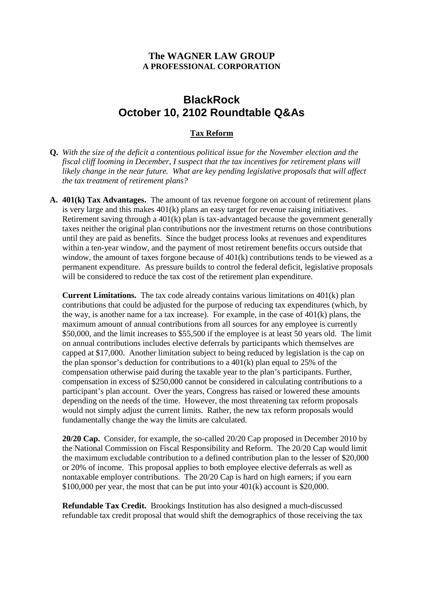## **The WAGNER LAW GROUP A PROFESSIONAL CORPORATION**

# **BlackRock October 10, 2102 Roundtable Q&As**

## **Tax Reform**

- **Q.** *With the size of the deficit a contentious political issue for the November election and the fiscal cliff looming in December, I suspect that the tax incentives for retirement plans will likely change in the near future. What are key pending legislative proposals that will affect the tax treatment of retirement plans?*
- **A. 401(k) Tax Advantages.** The amount of tax revenue forgone on account of retirement plans is very large and this makes 401(k) plans an easy target for revenue raising initiatives. Retirement saving through a 401(k) plan is tax-advantaged because the government generally taxes neither the original plan contributions nor the investment returns on those contributions until they are paid as benefits. Since the budget process looks at revenues and expenditures within a ten-year window, and the payment of most retirement benefits occurs outside that window, the amount of taxes forgone because of  $401(k)$  contributions tends to be viewed as a permanent expenditure. As pressure builds to control the federal deficit, legislative proposals will be considered to reduce the tax cost of the retirement plan expenditure.

**Current Limitations.** The tax code already contains various limitations on 401(k) plan contributions that could be adjusted for the purpose of reducing tax expenditures (which, by the way, is another name for a tax increase). For example, in the case of  $401(k)$  plans, the maximum amount of annual contributions from all sources for any employee is currently \$50,000, and the limit increases to \$55,500 if the employee is at least 50 years old. The limit on annual contributions includes elective deferrals by participants which themselves are capped at \$17,000. Another limitation subject to being reduced by legislation is the cap on the plan sponsor's deduction for contributions to a 401(k) plan equal to 25% of the compensation otherwise paid during the taxable year to the plan's participants. Further, compensation in excess of \$250,000 cannot be considered in calculating contributions to a participant's plan account. Over the years, Congress has raised or lowered these amounts depending on the needs of the time. However, the most threatening tax reform proposals would not simply adjust the current limits. Rather, the new tax reform proposals would fundamentally change the way the limits are calculated.

**20/20 Cap.** Consider, for example, the so-called 20/20 Cap proposed in December 2010 by the National Commission on Fiscal Responsibility and Reform. The 20/20 Cap would limit the maximum excludable contribution to a defined contribution plan to the lesser of \$20,000 or 20% of income. This proposal applies to both employee elective deferrals as well as nontaxable employer contributions. The 20/20 Cap is hard on high earners; if you earn  $$100,000$  per year, the most that can be put into your  $401(k)$  account is \$20,000.

**Refundable Tax Credit.** Brookings Institution has also designed a much-discussed refundable tax credit proposal that would shift the demographics of those receiving the tax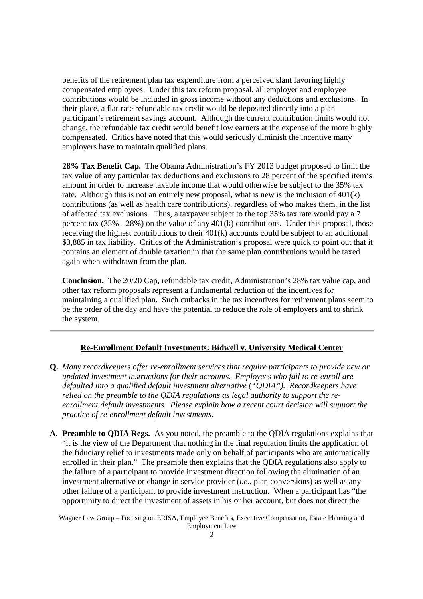benefits of the retirement plan tax expenditure from a perceived slant favoring highly compensated employees. Under this tax reform proposal, all employer and employee contributions would be included in gross income without any deductions and exclusions. In their place, a flat-rate refundable tax credit would be deposited directly into a plan participant's retirement savings account. Although the current contribution limits would not change, the refundable tax credit would benefit low earners at the expense of the more highly compensated. Critics have noted that this would seriously diminish the incentive many employers have to maintain qualified plans.

**28% Tax Benefit Cap.** The Obama Administration's FY 2013 budget proposed to limit the tax value of any particular tax deductions and exclusions to 28 percent of the specified item's amount in order to increase taxable income that would otherwise be subject to the 35% tax rate. Although this is not an entirely new proposal, what is new is the inclusion of 401(k) contributions (as well as health care contributions), regardless of who makes them, in the list of affected tax exclusions. Thus, a taxpayer subject to the top 35% tax rate would pay a 7 percent tax  $(35\% - 28\%)$  on the value of any  $401(k)$  contributions. Under this proposal, those receiving the highest contributions to their 401(k) accounts could be subject to an additional \$3,885 in tax liability. Critics of the Administration's proposal were quick to point out that it contains an element of double taxation in that the same plan contributions would be taxed again when withdrawn from the plan.

**Conclusion.** The 20/20 Cap, refundable tax credit, Administration's 28% tax value cap, and other tax reform proposals represent a fundamental reduction of the incentives for maintaining a qualified plan. Such cutbacks in the tax incentives for retirement plans seem to be the order of the day and have the potential to reduce the role of employers and to shrink the system.

#### **Re-Enrollment Default Investments: Bidwell v. University Medical Center**

- **Q.** *Many recordkeepers offer re-enrollment services that require participants to provide new or updated investment instructions for their accounts. Employees who fail to re-enroll are defaulted into a qualified default investment alternative ("QDIA"). Recordkeepers have relied on the preamble to the QDIA regulations as legal authority to support the reenrollment default investments. Please explain how a recent court decision will support the practice of re-enrollment default investments.*
- **A. Preamble to QDIA Regs.** As you noted, the preamble to the QDIA regulations explains that "it is the view of the Department that nothing in the final regulation limits the application of the fiduciary relief to investments made only on behalf of participants who are automatically enrolled in their plan." The preamble then explains that the QDIA regulations also apply to the failure of a participant to provide investment direction following the elimination of an investment alternative or change in service provider (*i.e.*, plan conversions) as well as any other failure of a participant to provide investment instruction. When a participant has "the opportunity to direct the investment of assets in his or her account, but does not direct the

Wagner Law Group – Focusing on ERISA, Employee Benefits, Executive Compensation, Estate Planning and Employment Law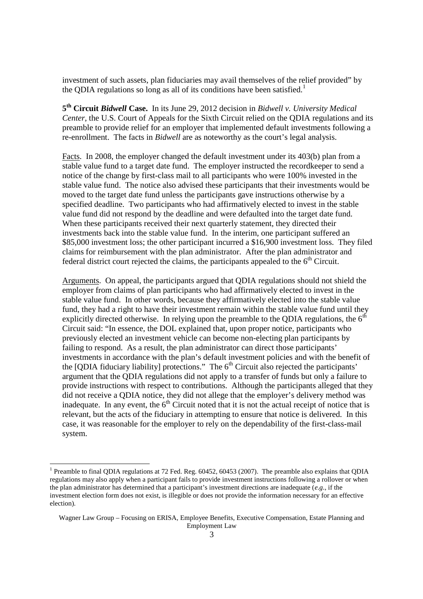investment of such assets, plan fiduciaries may avail themselves of the relief provided" by the QDIA regulations so long as all of its conditions have been satisfied.<sup>1</sup>

**5 th Circuit** *Bidwell* **Case.** In its June 29, 2012 decision in *Bidwell v. University Medical Center*, the U.S. Court of Appeals for the Sixth Circuit relied on the QDIA regulations and its preamble to provide relief for an employer that implemented default investments following a re-enrollment. The facts in *Bidwell* are as noteworthy as the court's legal analysis.

Facts. In 2008, the employer changed the default investment under its 403(b) plan from a stable value fund to a target date fund. The employer instructed the recordkeeper to send a notice of the change by first-class mail to all participants who were 100% invested in the stable value fund. The notice also advised these participants that their investments would be moved to the target date fund unless the participants gave instructions otherwise by a specified deadline. Two participants who had affirmatively elected to invest in the stable value fund did not respond by the deadline and were defaulted into the target date fund. When these participants received their next quarterly statement, they directed their investments back into the stable value fund. In the interim, one participant suffered an \$85,000 investment loss; the other participant incurred a \$16,900 investment loss. They filed claims for reimbursement with the plan administrator. After the plan administrator and federal district court rejected the claims, the participants appealed to the  $6<sup>th</sup>$  Circuit.

Arguments. On appeal, the participants argued that QDIA regulations should not shield the employer from claims of plan participants who had affirmatively elected to invest in the stable value fund. In other words, because they affirmatively elected into the stable value fund, they had a right to have their investment remain within the stable value fund until they explicitly directed otherwise. In relying upon the preamble to the ODIA regulations, the  $6<sup>th</sup>$ Circuit said: "In essence, the DOL explained that, upon proper notice, participants who previously elected an investment vehicle can become non-electing plan participants by failing to respond. As a result, the plan administrator can direct those participants' investments in accordance with the plan's default investment policies and with the benefit of the [QDIA fiduciary liability] protections." The  $6<sup>th</sup>$  Circuit also rejected the participants' argument that the QDIA regulations did not apply to a transfer of funds but only a failure to provide instructions with respect to contributions. Although the participants alleged that they did not receive a QDIA notice, they did not allege that the employer's delivery method was inadequate. In any event, the  $6<sup>th</sup>$  Circuit noted that it is not the actual receipt of notice that is relevant, but the acts of the fiduciary in attempting to ensure that notice is delivered. In this case, it was reasonable for the employer to rely on the dependability of the first-class-mail system.

<sup>&</sup>lt;sup>1</sup> Preamble to final QDIA regulations at 72 Fed. Reg. 60452, 60453 (2007). The preamble also explains that QDIA regulations may also apply when a participant fails to provide investment instructions following a rollover or when the plan administrator has determined that a participant's investment directions are inadequate (*e.g*., if the investment election form does not exist, is illegible or does not provide the information necessary for an effective election).

Wagner Law Group – Focusing on ERISA, Employee Benefits, Executive Compensation, Estate Planning and Employment Law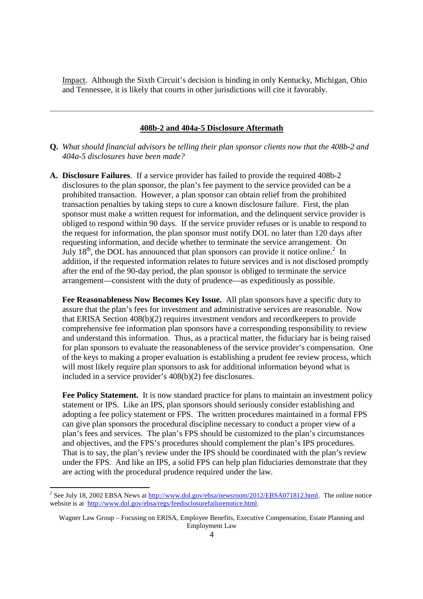Impact. Although the Sixth Circuit's decision is binding in only Kentucky, Michigan, Ohio and Tennessee, it is likely that courts in other jurisdictions will cite it favorably.

#### **408b-2 and 404a-5 Disclosure Aftermath**

- **Q.** *What should financial advisors be telling their plan sponsor clients now that the 408b-2 and 404a-5 disclosures have been made?*
- **A. Disclosure Failures**. If a service provider has failed to provide the required 408b-2 disclosures to the plan sponsor, the plan's fee payment to the service provided can be a prohibited transaction. However, a plan sponsor can obtain relief from the prohibited transaction penalties by taking steps to cure a known disclosure failure. First, the plan sponsor must make a written request for information, and the delinquent service provider is obliged to respond within 90 days. If the service provider refuses or is unable to respond to the request for information, the plan sponsor must notify DOL no later than 120 days after requesting information, and decide whether to terminate the service arrangement. On July  $18<sup>th</sup>$ , the DOL has announced that plan sponsors can provide it notice online.<sup>2</sup> In addition, if the requested information relates to future services and is not disclosed promptly after the end of the 90-day period, the plan sponsor is obliged to terminate the service arrangement—consistent with the duty of prudence—as expeditiously as possible.

**Fee Reasonableness Now Becomes Key Issue.** All plan sponsors have a specific duty to assure that the plan's fees for investment and administrative services are reasonable. Now that ERISA Section 408(b)(2) requires investment vendors and recordkeepers to provide comprehensive fee information plan sponsors have a corresponding responsibility to review and understand this information. Thus, as a practical matter, the fiduciary bar is being raised for plan sponsors to evaluate the reasonableness of the service provider's compensation. One of the keys to making a proper evaluation is establishing a prudent fee review process, which will most likely require plan sponsors to ask for additional information beyond what is included in a service provider's 408(b)(2) fee disclosures.

Fee Policy Statement. It is now standard practice for plans to maintain an investment policy statement or IPS. Like an IPS, plan sponsors should seriously consider establishing and adopting a fee policy statement or FPS. The written procedures maintained in a formal FPS can give plan sponsors the procedural discipline necessary to conduct a proper view of a plan's fees and services. The plan's FPS should be customized to the plan's circumstances and objectives, and the FPS's procedures should complement the plan's IPS procedures. That is to say, the plan's review under the IPS should be coordinated with the plan's review under the FPS. And like an IPS, a solid FPS can help plan fiduciaries demonstrate that they are acting with the procedural prudence required under the law.

<sup>&</sup>lt;sup>2</sup> See July 18, 2002 EBSA News at  $\frac{http://www.dol.gov/ebsa/newsroom/2012/EBSA071812.html}{http://www.dol.gov/ebsa/newsroom/2012/EBSA071812.html}$ . The online notice website is at http://www.dol.gov/ebsa/regs/feedisclosurefailurenotice.html.

Wagner Law Group – Focusing on ERISA, Employee Benefits, Executive Compensation, Estate Planning and Employment Law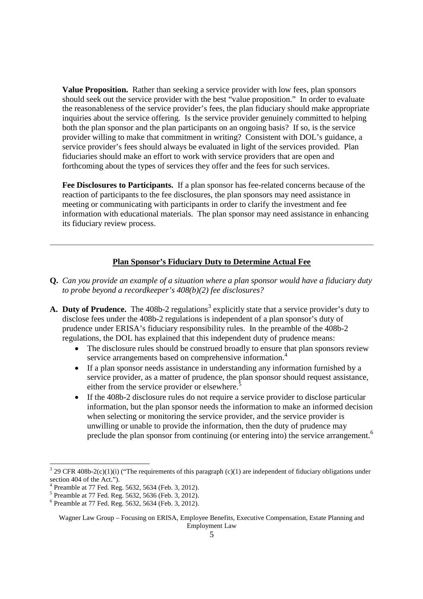**Value Proposition.** Rather than seeking a service provider with low fees, plan sponsors should seek out the service provider with the best "value proposition." In order to evaluate the reasonableness of the service provider's fees, the plan fiduciary should make appropriate inquiries about the service offering. Is the service provider genuinely committed to helping both the plan sponsor and the plan participants on an ongoing basis? If so, is the service provider willing to make that commitment in writing? Consistent with DOL's guidance, a service provider's fees should always be evaluated in light of the services provided. Plan fiduciaries should make an effort to work with service providers that are open and forthcoming about the types of services they offer and the fees for such services.

**Fee Disclosures to Participants.** If a plan sponsor has fee-related concerns because of the reaction of participants to the fee disclosures, the plan sponsors may need assistance in meeting or communicating with participants in order to clarify the investment and fee information with educational materials. The plan sponsor may need assistance in enhancing its fiduciary review process.

## **Plan Sponsor's Fiduciary Duty to Determine Actual Fee**

- **Q.** *Can you provide an example of a situation where a plan sponsor would have a fiduciary duty to probe beyond a recordkeeper's 408(b)(2) fee disclosures?*
- A. Duty of Prudence. The 408b-2 regulations<sup>3</sup> explicitly state that a service provider's duty to disclose fees under the 408b-2 regulations is independent of a plan sponsor's duty of prudence under ERISA's fiduciary responsibility rules. In the preamble of the 408b-2 regulations, the DOL has explained that this independent duty of prudence means:
	- The disclosure rules should be construed broadly to ensure that plan sponsors review service arrangements based on comprehensive information.<sup>4</sup>
	- If a plan sponsor needs assistance in understanding any information furnished by a service provider, as a matter of prudence, the plan sponsor should request assistance, either from the service provider or elsewhere.<sup>5</sup>
	- If the 408b-2 disclosure rules do not require a service provider to disclose particular information, but the plan sponsor needs the information to make an informed decision when selecting or monitoring the service provider, and the service provider is unwilling or unable to provide the information, then the duty of prudence may preclude the plan sponsor from continuing (or entering into) the service arrangement.<sup>6</sup>

<sup>&</sup>lt;sup>3</sup> 29 CFR 408b-2(c)(1)(i) ("The requirements of this paragraph (c)(1) are independent of fiduciary obligations under section 404 of the Act.").

<sup>4</sup> Preamble at 77 Fed. Reg. 5632, 5634 (Feb. 3, 2012).

<sup>5</sup> Preamble at 77 Fed. Reg. 5632, 5636 (Feb. 3, 2012).

<sup>6</sup> Preamble at 77 Fed. Reg. 5632, 5634 (Feb. 3, 2012).

Wagner Law Group – Focusing on ERISA, Employee Benefits, Executive Compensation, Estate Planning and Employment Law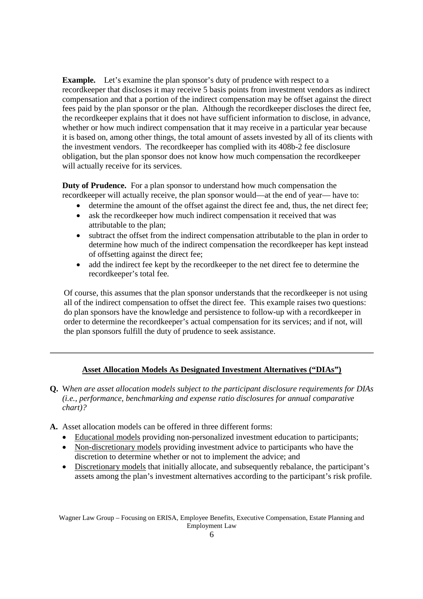**Example.** Let's examine the plan sponsor's duty of prudence with respect to a recordkeeper that discloses it may receive 5 basis points from investment vendors as indirect compensation and that a portion of the indirect compensation may be offset against the direct fees paid by the plan sponsor or the plan. Although the recordkeeper discloses the direct fee, the recordkeeper explains that it does not have sufficient information to disclose, in advance, whether or how much indirect compensation that it may receive in a particular year because it is based on, among other things, the total amount of assets invested by all of its clients with the investment vendors. The recordkeeper has complied with its 408b-2 fee disclosure obligation, but the plan sponsor does not know how much compensation the recordkeeper will actually receive for its services.

**Duty of Prudence.** For a plan sponsor to understand how much compensation the recordkeeper will actually receive, the plan sponsor would—at the end of year— have to:

- determine the amount of the offset against the direct fee and, thus, the net direct fee;
- ask the recordkeeper how much indirect compensation it received that was attributable to the plan;
- subtract the offset from the indirect compensation attributable to the plan in order to determine how much of the indirect compensation the recordkeeper has kept instead of offsetting against the direct fee;
- add the indirect fee kept by the recordkeeper to the net direct fee to determine the recordkeeper's total fee.

Of course, this assumes that the plan sponsor understands that the recordkeeper is not using all of the indirect compensation to offset the direct fee. This example raises two questions: do plan sponsors have the knowledge and persistence to follow-up with a recordkeeper in order to determine the recordkeeper's actual compensation for its services; and if not, will the plan sponsors fulfill the duty of prudence to seek assistance.

### **Asset Allocation Models As Designated Investment Alternatives ("DIAs")**

- **Q.** W*hen are asset allocation models subject to the participant disclosure requirements for DIAs (i.e., performance, benchmarking and expense ratio disclosures for annual comparative chart)?*
- **A.** Asset allocation models can be offered in three different forms:
	- Educational models providing non-personalized investment education to participants;
	- Non-discretionary models providing investment advice to participants who have the discretion to determine whether or not to implement the advice; and
	- Discretionary models that initially allocate, and subsequently rebalance, the participant's assets among the plan's investment alternatives according to the participant's risk profile.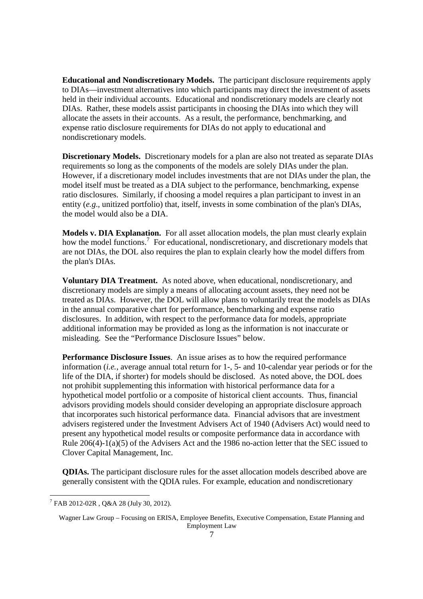**Educational and Nondiscretionary Models.** The participant disclosure requirements apply to DIAs—investment alternatives into which participants may direct the investment of assets held in their individual accounts. Educational and nondiscretionary models are clearly not DIAs. Rather, these models assist participants in choosing the DIAs into which they will allocate the assets in their accounts. As a result, the performance, benchmarking, and expense ratio disclosure requirements for DIAs do not apply to educational and nondiscretionary models.

**Discretionary Models.** Discretionary models for a plan are also not treated as separate DIAs requirements so long as the components of the models are solely DIAs under the plan. However, if a discretionary model includes investments that are not DIAs under the plan, the model itself must be treated as a DIA subject to the performance, benchmarking, expense ratio disclosures. Similarly, if choosing a model requires a plan participant to invest in an entity (*e.g*., unitized portfolio) that, itself, invests in some combination of the plan's DIAs, the model would also be a DIA.

**Models v. DIA Explanation.** For all asset allocation models, the plan must clearly explain how the model functions.<sup>7</sup> For educational, nondiscretionary, and discretionary models that are not DIAs, the DOL also requires the plan to explain clearly how the model differs from the plan's DIAs.

**Voluntary DIA Treatment.** As noted above, when educational, nondiscretionary, and discretionary models are simply a means of allocating account assets, they need not be treated as DIAs. However, the DOL will allow plans to voluntarily treat the models as DIAs in the annual comparative chart for performance, benchmarking and expense ratio disclosures. In addition, with respect to the performance data for models, appropriate additional information may be provided as long as the information is not inaccurate or misleading. See the "Performance Disclosure Issues" below.

**Performance Disclosure Issues**. An issue arises as to how the required performance information (*i.e.*, average annual total return for 1-, 5- and 10-calendar year periods or for the life of the DIA, if shorter) for models should be disclosed. As noted above, the DOL does not prohibit supplementing this information with historical performance data for a hypothetical model portfolio or a composite of historical client accounts. Thus, financial advisors providing models should consider developing an appropriate disclosure approach that incorporates such historical performance data. Financial advisors that are investment advisers registered under the Investment Advisers Act of 1940 (Advisers Act) would need to present any hypothetical model results or composite performance data in accordance with Rule 206(4)-1(a)(5) of the Advisers Act and the 1986 no-action letter that the SEC issued to Clover Capital Management, Inc.

**QDIAs.** The participant disclosure rules for the asset allocation models described above are generally consistent with the QDIA rules. For example, education and nondiscretionary

<sup>7</sup> FAB 2012-02R , Q&A 28 (July 30, 2012).

Wagner Law Group – Focusing on ERISA, Employee Benefits, Executive Compensation, Estate Planning and Employment Law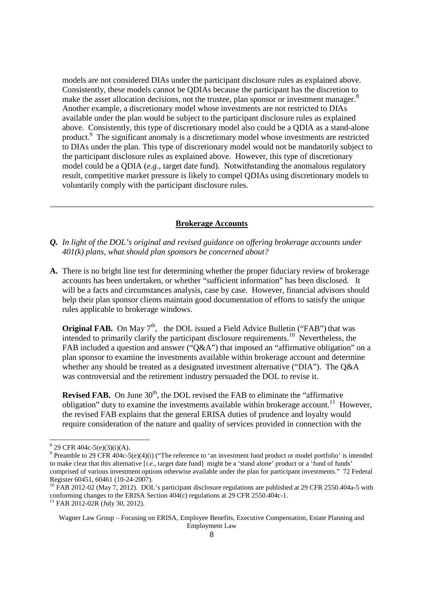models are not considered DIAs under the participant disclosure rules as explained above. Consistently, these models cannot be QDIAs because the participant has the discretion to make the asset allocation decisions, not the trustee, plan sponsor or investment manager.<sup>8</sup> Another example, a discretionary model whose investments are not restricted to DIAs available under the plan would be subject to the participant disclosure rules as explained above. Consistently, this type of discretionary model also could be a QDIA as a stand-alone product.<sup>9</sup> The significant anomaly is a discretionary model whose investments are restricted to DIAs under the plan. This type of discretionary model would not be mandatorily subject to the participant disclosure rules as explained above. However, this type of discretionary model could be a QDIA (*e.g*., target date fund). Notwithstanding the anomalous regulatory result, competitive market pressure is likely to compel QDIAs using discretionary models to voluntarily comply with the participant disclosure rules.

#### **Brokerage Accounts**

- *Q. In light of the DOL's original and revised guidance on offering brokerage accounts under 401(k) plans, what should plan sponsors be concerned about?*
- **A.** There is no bright line test for determining whether the proper fiduciary review of brokerage accounts has been undertaken, or whether "sufficient information" has been disclosed. It will be a facts and circumstances analysis, case by case. However, financial advisors should help their plan sponsor clients maintain good documentation of efforts to satisfy the unique rules applicable to brokerage windows.

**Original FAB.** On May  $7<sup>th</sup>$ , the DOL issued a Field Advice Bulletin ("FAB") that was intended to primarily clarify the participant disclosure requirements.<sup>10</sup> Nevertheless, the FAB included a question and answer ("Q&A") that imposed an "affirmative obligation" on a plan sponsor to examine the investments available within brokerage account and determine whether any should be treated as a designated investment alternative ("DIA"). The Q&A was controversial and the retirement industry persuaded the DOL to revise it.

**Revised FAB.** On June 30<sup>th</sup>, the DOL revised the FAB to eliminate the "affirmative" obligation" duty to examine the investments available within brokerage account.<sup>11</sup> However, the revised FAB explains that the general ERISA duties of prudence and loyalty would require consideration of the nature and quality of services provided in connection with the

 $8^{8}$  29 CFR 404c-5(e)(3)(i)(A).

<sup>&</sup>lt;sup>9</sup> Preamble to 29 CFR 404c-5(e)(4)(i) ("The reference to 'an investment fund product or model portfolio' is intended to make clear that this alternative [*i.e*., target date fund] might be a 'stand alone' product or a 'fund of funds' comprised of various investment options otherwise available under the plan for participant investments." 72 Federal Register 60451, 60461 (10-24-2007).

<sup>&</sup>lt;sup>10</sup> FAB 2012-02 (May 7, 2012). DOL's participant disclosure regulations are published at 29 CFR 2550.404a-5 with conforming changes to the ERISA Section 404(c) regulations at 29 CFR 2550.404c-1.

<sup>&</sup>lt;sup>11</sup> FAB 2012-02R (July 30, 2012).

Wagner Law Group – Focusing on ERISA, Employee Benefits, Executive Compensation, Estate Planning and Employment Law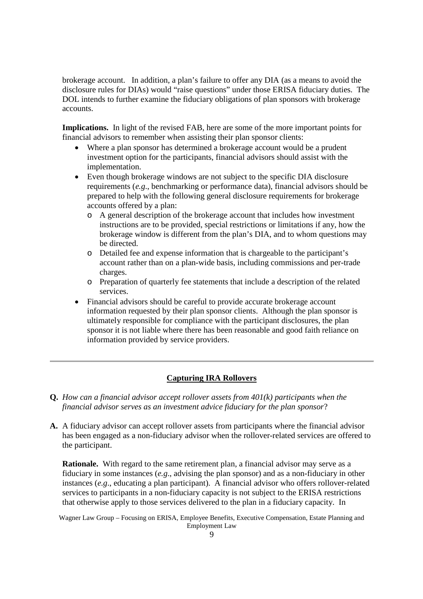brokerage account. In addition, a plan's failure to offer any DIA (as a means to avoid the disclosure rules for DIAs) would "raise questions" under those ERISA fiduciary duties. The DOL intends to further examine the fiduciary obligations of plan sponsors with brokerage accounts.

**Implications.** In light of the revised FAB, here are some of the more important points for financial advisors to remember when assisting their plan sponsor clients:

- Where a plan sponsor has determined a brokerage account would be a prudent investment option for the participants, financial advisors should assist with the implementation.
- Even though brokerage windows are not subject to the specific DIA disclosure requirements (*e.g*., benchmarking or performance data), financial advisors should be prepared to help with the following general disclosure requirements for brokerage accounts offered by a plan:
	- o A general description of the brokerage account that includes how investment instructions are to be provided, special restrictions or limitations if any, how the brokerage window is different from the plan's DIA, and to whom questions may be directed.
	- o Detailed fee and expense information that is chargeable to the participant's account rather than on a plan-wide basis, including commissions and per-trade charges.
	- o Preparation of quarterly fee statements that include a description of the related services.
- Financial advisors should be careful to provide accurate brokerage account information requested by their plan sponsor clients. Although the plan sponsor is ultimately responsible for compliance with the participant disclosures, the plan sponsor it is not liable where there has been reasonable and good faith reliance on information provided by service providers.

#### **Capturing IRA Rollovers**

- **Q.** *How can a financial advisor accept rollover assets from 401(k) participants when the financial advisor serves as an investment advice fiduciary for the plan sponsor*?
- **A.** A fiduciary advisor can accept rollover assets from participants where the financial advisor has been engaged as a non-fiduciary advisor when the rollover-related services are offered to the participant.

**Rationale.** With regard to the same retirement plan, a financial advisor may serve as a fiduciary in some instances (*e.g*., advising the plan sponsor) and as a non-fiduciary in other instances (*e.g*., educating a plan participant). A financial advisor who offers rollover-related services to participants in a non-fiduciary capacity is not subject to the ERISA restrictions that otherwise apply to those services delivered to the plan in a fiduciary capacity. In

Wagner Law Group – Focusing on ERISA, Employee Benefits, Executive Compensation, Estate Planning and Employment Law